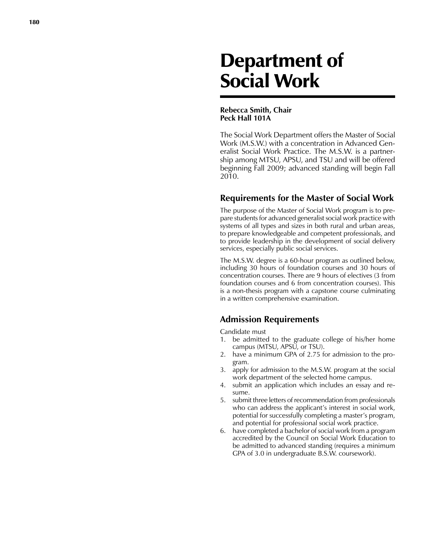# Department of Social Work

### **Rebecca Smith, Chair Peck Hall 101A**

The Social Work Department offers the Master of Social Work (M.S.W.) with a concentration in Advanced Generalist Social Work Practice. The M.S.W. is a partnership among MTSU, APSU, and TSU and will be offered beginning Fall 2009; advanced standing will begin Fall 2010.

## **Requirements for the Master of Social Work**

The purpose of the Master of Social Work program is to prepare students for advanced generalist social work practice with systems of all types and sizes in both rural and urban areas, to prepare knowledgeable and competent professionals, and to provide leadership in the development of social delivery services, especially public social services.

The M.S.W. degree is a 60-hour program as outlined below, including 30 hours of foundation courses and 30 hours of concentration courses. There are 9 hours of electives (3 from foundation courses and 6 from concentration courses). This is a non-thesis program with a capstone course culminating in a written comprehensive examination.

# **Admission Requirements**

Candidate must

- 1. be admitted to the graduate college of his/her home campus (MTSU, APSU, or TSU).
- 2. have a minimum GPA of 2.75 for admission to the program.
- 3. apply for admission to the M.S.W. program at the social work department of the selected home campus.
- 4. submit an application which includes an essay and resume.
- 5. submit three letters of recommendation from professionals who can address the applicant's interest in social work, potential for successfully completing a master's program, and potential for professional social work practice.
- 6. have completed a bachelor of social work from a program accredited by the Council on Social Work Education to be admitted to advanced standing (requires a minimum GPA of 3.0 in undergraduate B.S.W. coursework).